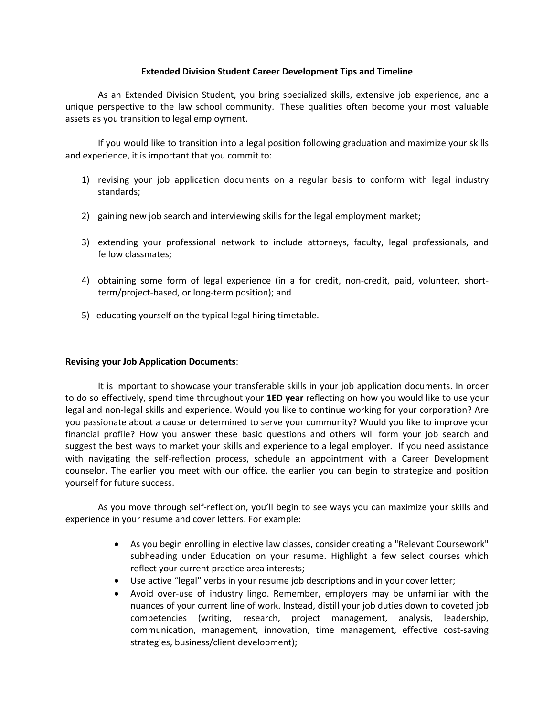### **Extended Division Student Career Development Tips and Timeline**

As an Extended Division Student, you bring specialized skills, extensive job experience, and a unique perspective to the law school community. These qualities often become your most valuable assets as you transition to legal employment.

If you would like to transition into a legal position following graduation and maximize your skills and experience, it is important that you commit to:

- 1) revising your job application documents on a regular basis to conform with legal industry standards;
- 2) gaining new job search and interviewing skills for the legal employment market;
- 3) extending your professional network to include attorneys, faculty, legal professionals, and fellow classmates;
- 4) obtaining some form of legal experience (in a for credit, non-credit, paid, volunteer, shortterm/project-based, or long-term position); and
- 5) educating yourself on the typical legal hiring timetable.

#### **Revising your Job Application Documents**:

It is important to showcase your transferable skills in your job application documents. In order to do so effectively, spend time throughout your **1ED year** reflecting on how you would like to use your legal and non-legal skills and experience. Would you like to continue working for your corporation? Are you passionate about a cause or determined to serve your community? Would you like to improve your financial profile? How you answer these basic questions and others will form your job search and suggest the best ways to market your skills and experience to a legal employer. If you need assistance with navigating the self-reflection process, schedule an appointment with a Career Development counselor. The earlier you meet with our office, the earlier you can begin to strategize and position yourself for future success.

As you move through self-reflection, you'll begin to see ways you can maximize your skills and experience in your resume and cover letters. For example:

- As you begin enrolling in elective law classes, consider creating a "Relevant Coursework" subheading under Education on your resume. Highlight a few select courses which reflect your current practice area interests;
- Use active "legal" verbs in your resume job descriptions and in your cover letter;
- Avoid over-use of industry lingo. Remember, employers may be unfamiliar with the nuances of your current line of work. Instead, distill your job duties down to coveted job competencies (writing, research, project management, analysis, leadership, communication, management, innovation, time management, effective cost-saving strategies, business/client development);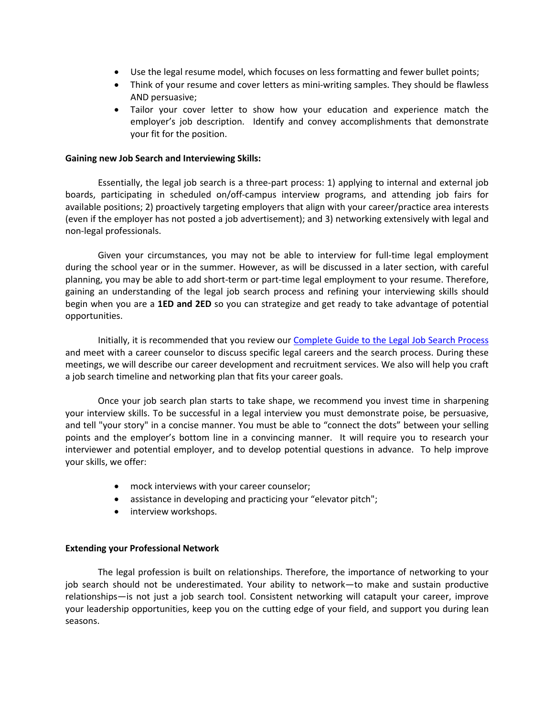- Use the legal resume model, which focuses on less formatting and fewer bullet points;
- Think of your resume and cover letters as mini-writing samples. They should be flawless AND persuasive;
- Tailor your cover letter to show how your education and experience match the employer's job description. Identify and convey accomplishments that demonstrate your fit for the position.

### **Gaining new Job Search and Interviewing Skills:**

Essentially, the legal job search is a three-part process: 1) applying to internal and external job boards, participating in scheduled on/off-campus interview programs, and attending job fairs for available positions; 2) proactively targeting employers that align with your career/practice area interests (even if the employer has not posted a job advertisement); and 3) networking extensively with legal and non-legal professionals.

Given your circumstances, you may not be able to interview for full-time legal employment during the school year or in the summer. However, as will be discussed in a later section, with careful planning, you may be able to add short-term or part-time legal employment to your resume. Therefore, gaining an understanding of the legal job search process and refining your interviewing skills should begin when you are a **1ED and 2ED** so you can strategize and get ready to take advantage of potential opportunities.

Initially, it is recommended that you review our Complete Guide to the Legal Job Search Process and meet with a career counselor to discuss specific legal careers and the search process. During these meetings, we will describe our career development and recruitment services. We also will help you craft a job search timeline and networking plan that fits your career goals.

Once your job search plan starts to take shape, we recommend you invest time in sharpening your interview skills. To be successful in a legal interview you must demonstrate poise, be persuasive, and tell "your story" in a concise manner. You must be able to "connect the dots" between your selling points and the employer's bottom line in a convincing manner. It will require you to research your interviewer and potential employer, and to develop potential questions in advance. To help improve your skills, we offer:

- mock interviews with your career counselor;
- assistance in developing and practicing your "elevator pitch";
- interview workshops.

# **Extending your Professional Network**

The legal profession is built on relationships. Therefore, the importance of networking to your job search should not be underestimated. Your ability to network—to make and sustain productive relationships—is not just a job search tool. Consistent networking will catapult your career, improve your leadership opportunities, keep you on the cutting edge of your field, and support you during lean seasons.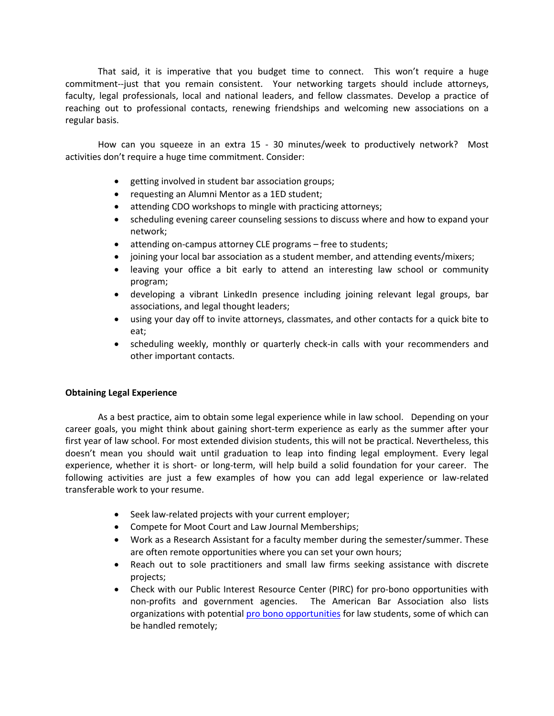That said, it is imperative that you budget time to connect. This won't require a huge commitment--just that you remain consistent. Your networking targets should include attorneys, faculty, legal professionals, local and national leaders, and fellow classmates. Develop a practice of reaching out to professional contacts, renewing friendships and welcoming new associations on a regular basis.

How can you squeeze in an extra 15 - 30 minutes/week to productively network? Most activities don't require a huge time commitment. Consider:

- getting involved in student bar association groups;
- requesting an Alumni Mentor as a 1ED student;
- attending CDO workshops to mingle with practicing attorneys;
- scheduling evening career counseling sessions to discuss where and how to expand your network;
- attending on-campus attorney CLE programs free to students;
- joining your local bar association as a student member, and attending events/mixers;
- leaving your office a bit early to attend an interesting law school or community program;
- developing a vibrant LinkedIn presence including joining relevant legal groups, bar associations, and legal thought leaders;
- using your day off to invite attorneys, classmates, and other contacts for a quick bite to eat;
- scheduling weekly, monthly or quarterly check-in calls with your recommenders and other important contacts.

# **Obtaining Legal Experience**

As a best practice, aim to obtain some legal experience while in law school. Depending on your career goals, you might think about gaining short-term experience as early as the summer after your first year of law school. For most extended division students, this will not be practical. Nevertheless, this doesn't mean you should wait until graduation to leap into finding legal employment. Every legal experience, whether it is short- or long-term, will help build a solid foundation for your career. The following activities are just a few examples of how you can add legal experience or law-related transferable work to your resume.

- Seek law-related projects with your current employer;
- Compete for Moot Court and Law Journal Memberships;
- Work as a Research Assistant for a faculty member during the semester/summer. These are often remote opportunities where you can set your own hours;
- Reach out to sole practitioners and small law firms seeking assistance with discrete projects;
- Check with our Public Interest Resource Center (PIRC) for pro-bono opportunities with non-profits and government agencies. The American Bar Association also lists organizations with potential pro bono opportunities for law students, some of which can be handled remotely;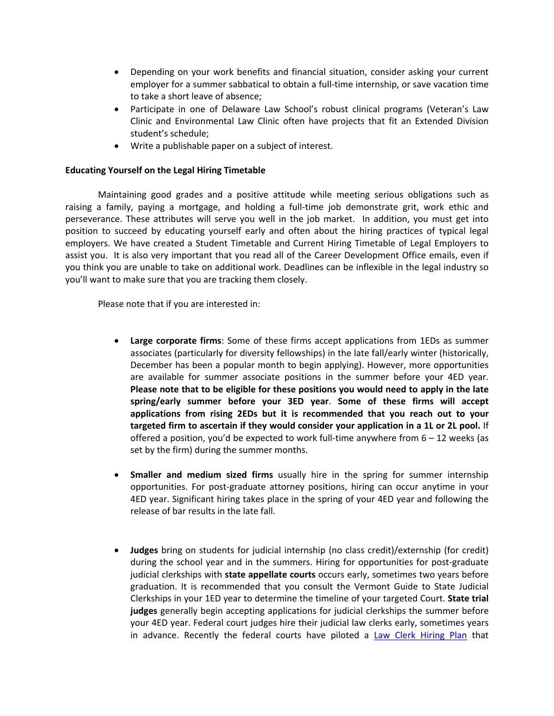- Depending on your work benefits and financial situation, consider asking your current employer for a summer sabbatical to obtain a full-time internship, or save vacation time to take a short leave of absence;
- Participate in one of Delaware Law School's robust clinical programs (Veteran's Law Clinic and Environmental Law Clinic often have projects that fit an Extended Division student's schedule;
- Write a publishable paper on a subject of interest.

## **Educating Yourself on the Legal Hiring Timetable**

Maintaining good grades and a positive attitude while meeting serious obligations such as raising a family, paying a mortgage, and holding a full-time job demonstrate grit, work ethic and perseverance. These attributes will serve you well in the job market. In addition, you must get into position to succeed by educating yourself early and often about the hiring practices of typical legal employers. We have created a Student Timetable and Current Hiring Timetable of Legal Employers to assist you. It is also very important that you read all of the Career Development Office emails, even if you think you are unable to take on additional work. Deadlines can be inflexible in the legal industry so you'll want to make sure that you are tracking them closely.

Please note that if you are interested in:

- **Large corporate firms**: Some of these firms accept applications from 1EDs as summer associates (particularly for diversity fellowships) in the late fall/early winter (historically, December has been a popular month to begin applying). However, more opportunities are available for summer associate positions in the summer before your 4ED year. **Please note that to be eligible for these positions you would need to apply in the late spring/early summer before your 3ED year**. **Some of these firms will accept applications from rising 2EDs but it is recommended that you reach out to your targeted firm to ascertain if they would consider your application in a 1L or 2L pool.** If offered a position, you'd be expected to work full-time anywhere from  $6 - 12$  weeks (as set by the firm) during the summer months.
- **Smaller and medium sized firms** usually hire in the spring for summer internship opportunities. For post-graduate attorney positions, hiring can occur anytime in your 4ED year. Significant hiring takes place in the spring of your 4ED year and following the release of bar results in the late fall.
- **Judges** bring on students for judicial internship (no class credit)/externship (for credit) during the school year and in the summers. Hiring for opportunities for post-graduate judicial clerkships with **state appellate courts** occurs early, sometimes two years before graduation. It is recommended that you consult the Vermont Guide to State Judicial Clerkships in your 1ED year to determine the timeline of your targeted Court. **State trial judges** generally begin accepting applications for judicial clerkships the summer before your 4ED year. Federal court judges hire their judicial law clerks early, sometimes years in advance. Recently the federal courts have piloted a Law Clerk Hiring Plan that